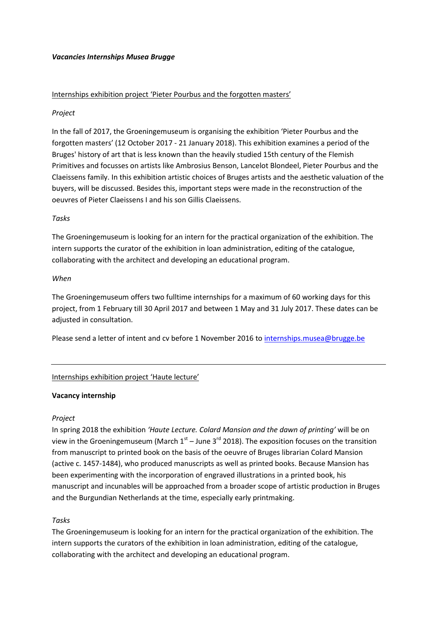## *Vacancies Internships Musea Brugge*

# Internships exhibition project 'Pieter Pourbus and the forgotten masters'

# *Project*

In the fall of 2017, the Groeningemuseum is organising the exhibition 'Pieter Pourbus and the forgotten masters' (12 October 2017 - 21 January 2018). This exhibition examines a period of the Bruges' history of art that is less known than the heavily studied 15th century of the Flemish Primitives and focusses on artists like Ambrosius Benson, Lancelot Blondeel, Pieter Pourbus and the Claeissens family. In this exhibition artistic choices of Bruges artists and the aesthetic valuation of the buyers, will be discussed. Besides this, important steps were made in the reconstruction of the oeuvres of Pieter Claeissens I and his son Gillis Claeissens.

# *Tasks*

The Groeningemuseum is looking for an intern for the practical organization of the exhibition. The intern supports the curator of the exhibition in loan administration, editing of the catalogue, collaborating with the architect and developing an educational program.

## *When*

The Groeningemuseum offers two fulltime internships for a maximum of 60 working days for this project, from 1 February till 30 April 2017 and between 1 May and 31 July 2017. These dates can be adjusted in consultation.

Please send a letter of intent and cv before 1 November 2016 to internships.musea@brugge.be

## Internships exhibition project 'Haute lecture'

## **Vacancy internship**

## *Project*

In spring 2018 the exhibition *'Haute Lecture. Colard Mansion and the dawn of printing'* will be on view in the Groeningemuseum (March  $1<sup>st</sup>$  – June 3<sup>rd</sup> 2018). The exposition focuses on the transition from manuscript to printed book on the basis of the oeuvre of Bruges librarian Colard Mansion (active c. 1457-1484), who produced manuscripts as well as printed books. Because Mansion has been experimenting with the incorporation of engraved illustrations in a printed book, his manuscript and incunables will be approached from a broader scope of artistic production in Bruges and the Burgundian Netherlands at the time, especially early printmaking.

## *Tasks*

The Groeningemuseum is looking for an intern for the practical organization of the exhibition. The intern supports the curators of the exhibition in loan administration, editing of the catalogue, collaborating with the architect and developing an educational program.